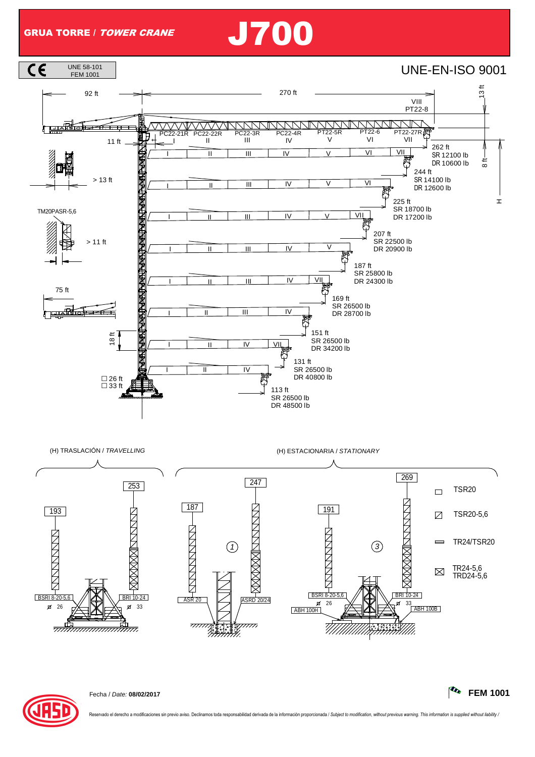## GRUA TORRE / TOWER CRANE J700





Fecha / Date: **08/02/2017 FEM 1001**

Reservado el derecho a modificaciones sin previo aviso. Declinamos toda responsabilidad derivada de la información proporcionada / Subject to modification, without previous warning. This information is supplied without lia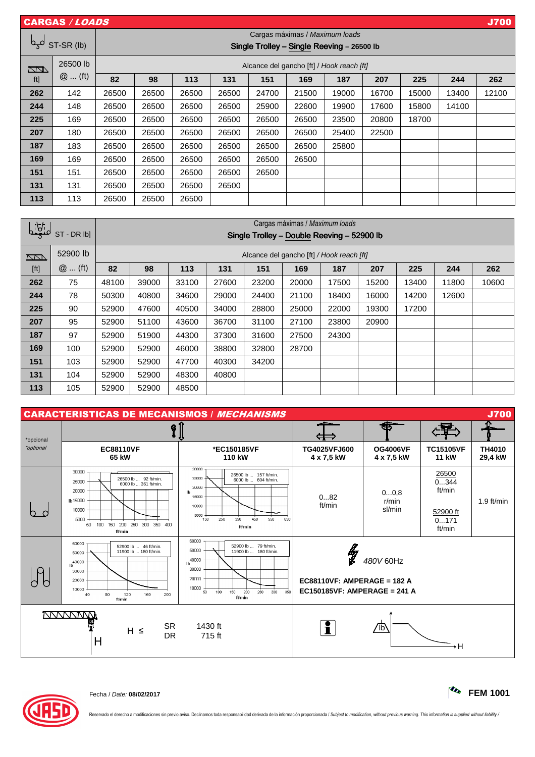|            | <b>CARGAS / LOADS</b> |                                                                              |       |       |       |       |       |       |       |       |       | <b>J700</b> |
|------------|-----------------------|------------------------------------------------------------------------------|-------|-------|-------|-------|-------|-------|-------|-------|-------|-------------|
| لمجما      | ST-SR (lb)            | Cargas máximas / Maximum loads<br>Single Trolley - Single Reeving - 26500 lb |       |       |       |       |       |       |       |       |       |             |
| $\Box\Box$ | 26500 lb<br>$@$ (ft)  | Alcance del gancho [ft] / Hook reach [ft]                                    |       |       |       |       |       |       |       |       |       |             |
| ft]        |                       | 82                                                                           | 98    | 113   | 131   | 151   | 169   | 187   | 207   | 225   | 244   | 262         |
| 262        | 142                   | 26500                                                                        | 26500 | 26500 | 26500 | 24700 | 21500 | 19000 | 16700 | 15000 | 13400 | 12100       |
| 244        | 148                   | 26500                                                                        | 26500 | 26500 | 26500 | 25900 | 22600 | 19900 | 17600 | 15800 | 14100 |             |
| 225        | 169                   | 26500                                                                        | 26500 | 26500 | 26500 | 26500 | 26500 | 23500 | 20800 | 18700 |       |             |
| 207        | 180                   | 26500                                                                        | 26500 | 26500 | 26500 | 26500 | 26500 | 25400 | 22500 |       |       |             |
| 187        | 183                   | 26500                                                                        | 26500 | 26500 | 26500 | 26500 | 26500 | 25800 |       |       |       |             |
| 169        | 169                   | 26500                                                                        | 26500 | 26500 | 26500 | 26500 | 26500 |       |       |       |       |             |
| 151        | 151                   | 26500                                                                        | 26500 | 26500 | 26500 | 26500 |       |       |       |       |       |             |
| 131        | 131                   | 26500                                                                        | 26500 | 26500 | 26500 |       |       |       |       |       |       |             |
| 113        | 113                   | 26500                                                                        | 26500 | 26500 |       |       |       |       |       |       |       |             |

| <u>    iği</u>                                                                                                                                                                                                                                            |           | Cargas máximas / Maximum loads             |       |       |       |       |       |       |       |       |       |       |
|-----------------------------------------------------------------------------------------------------------------------------------------------------------------------------------------------------------------------------------------------------------|-----------|--------------------------------------------|-------|-------|-------|-------|-------|-------|-------|-------|-------|-------|
|                                                                                                                                                                                                                                                           | ST-DR lbl | Single Trolley - Double Reeving - 52900 lb |       |       |       |       |       |       |       |       |       |       |
| $\sqrt{2}$                                                                                                                                                                                                                                                | 52900 lb  | Alcance del gancho [ft] / Hook reach [ft]  |       |       |       |       |       |       |       |       |       |       |
| $[ft] % \begin{center} % \includegraphics[width=\linewidth]{imagesSupplemental_3.png} % \end{center} % \caption { % Our method is used for the method. % The method is used in the image. % The method is used in the image. % } % \label{fig:example} %$ | $@$ (ft)  | 82                                         | 98    | 113   | 131   | 151   | 169   | 187   | 207   | 225   | 244   | 262   |
| 262                                                                                                                                                                                                                                                       | 75        | 48100                                      | 39000 | 33100 | 27600 | 23200 | 20000 | 17500 | 15200 | 13400 | 11800 | 10600 |
| 244                                                                                                                                                                                                                                                       | 78        | 50300                                      | 40800 | 34600 | 29000 | 24400 | 21100 | 18400 | 16000 | 14200 | 12600 |       |
| 225                                                                                                                                                                                                                                                       | 90        | 52900                                      | 47600 | 40500 | 34000 | 28800 | 25000 | 22000 | 19300 | 17200 |       |       |
| 207                                                                                                                                                                                                                                                       | 95        | 52900                                      | 51100 | 43600 | 36700 | 31100 | 27100 | 23800 | 20900 |       |       |       |
| 187                                                                                                                                                                                                                                                       | 97        | 52900                                      | 51900 | 44300 | 37300 | 31600 | 27500 | 24300 |       |       |       |       |
| 169                                                                                                                                                                                                                                                       | 100       | 52900                                      | 52900 | 46000 | 38800 | 32800 | 28700 |       |       |       |       |       |
| 151                                                                                                                                                                                                                                                       | 103       | 52900                                      | 52900 | 47700 | 40300 | 34200 |       |       |       |       |       |       |
| 131                                                                                                                                                                                                                                                       | 104       | 52900                                      | 52900 | 48300 | 40800 |       |       |       |       |       |       |       |
| 113                                                                                                                                                                                                                                                       | 105       | 52900                                      | 52900 | 48500 |       |       |       |       |       |       |       |       |

| <b>J700</b><br><b>CARACTERISTICAS DE MECANISMOS / MECHANISMS</b> |                                                                                                                                                              |                                                                                                                                                                      |                                                                          |                               |                                                       |                          |  |  |  |
|------------------------------------------------------------------|--------------------------------------------------------------------------------------------------------------------------------------------------------------|----------------------------------------------------------------------------------------------------------------------------------------------------------------------|--------------------------------------------------------------------------|-------------------------------|-------------------------------------------------------|--------------------------|--|--|--|
| *opcional                                                        | $\sqrt[6]{\frac{1}{2}}$                                                                                                                                      |                                                                                                                                                                      | - 1                                                                      |                               |                                                       |                          |  |  |  |
| *optional                                                        | <b>EC88110VF</b><br>65 kW                                                                                                                                    | *EC150185VF<br>110 kW                                                                                                                                                | TG4025VFJ600<br>4 x 7,5 kW                                               | <b>OG4006VF</b><br>4 x 7,5 kW | <b>TC15105VF</b><br><b>11 kW</b>                      | <b>TH4010</b><br>29,4 kW |  |  |  |
|                                                                  | 30000<br>26500 lb  92 ft/min.<br>25000<br>6000 lb  361 ft/min.<br>20000<br>Ib 15000<br>10000<br>5000<br>50 100 150 200 250 300 350 400<br>ft/min             | 30000<br>26500 lb  157 ft/min.<br>25000<br>6000 lb  604 ft/min.<br>20000<br>lb<br>15000<br>10000<br>5000<br>350<br>150<br>250<br>450<br>550<br>650<br>ft/min         | 082<br>ft/min                                                            | 00,8<br>r/min<br>sl/min       | 26500<br>0344<br>ft/min<br>52900 ft<br>0171<br>ft/min | $1.9$ ft/min             |  |  |  |
|                                                                  | 60000<br>52900 lb  46 ft/min.<br>11900 lb  180 ft/min.<br>50000<br>Ib <sup>40000</sup><br>30000<br>20000<br>10000<br>80<br>120<br>160<br>40<br>200<br>ft/min | 60000<br>52900 lb  79 ft/min.<br>50000<br>11900 lb  180 ft/min.<br>40000<br>lb.<br>30000<br>20000<br>10000<br>50<br>350<br>100<br>150<br>200<br>250<br>300<br>ft/min | <b>LA</b><br>EC88110VF: AMPERAGE = 182 A<br>EC150185VF: AMPERAGE = 241 A | 480V 60Hz                     |                                                       |                          |  |  |  |
|                                                                  | <b>NNNNNNNN</b><br><b>SR</b><br>$H \leq$<br><b>DR</b><br>H                                                                                                   | 1430 ft<br>715 ft                                                                                                                                                    | i.                                                                       | $^{\prime}$ lb                | ۰H                                                    |                          |  |  |  |



Fecha / Date: **08/02/2017 FEM 1001**

Reservado el derecho a modificaciones sin previo aviso. Declinamos toda responsabilidad derivada de la información proporcionada / Subject to modification, without previous warning. This information is supplied without lia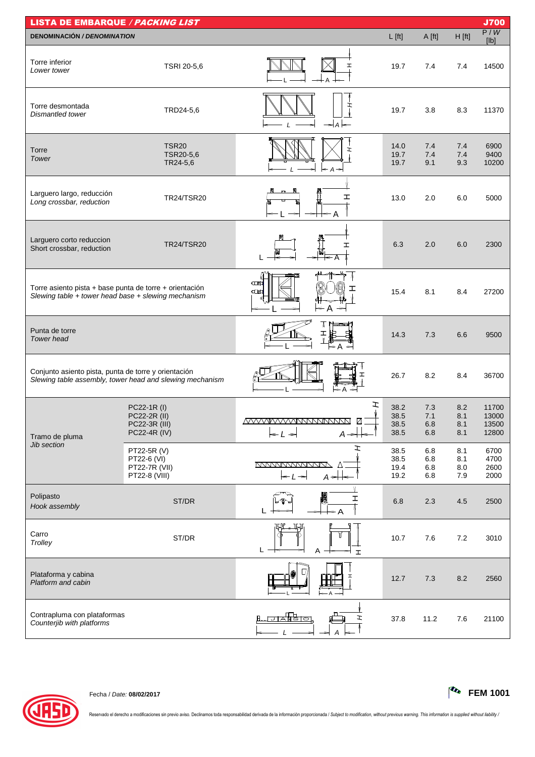| <b>LISTA DE EMBARQUE / PACKING LIST</b><br><b>J700</b>                                                         |                                                              |                                                                                                               |                              |                          |                          |                                  |  |  |  |
|----------------------------------------------------------------------------------------------------------------|--------------------------------------------------------------|---------------------------------------------------------------------------------------------------------------|------------------------------|--------------------------|--------------------------|----------------------------------|--|--|--|
| <b>DENOMINACIÓN / DENOMINATION</b>                                                                             |                                                              |                                                                                                               | $L$ [ft]                     | A [ft]                   | $H$ [ft]                 | P/W<br>[Ib]                      |  |  |  |
| Torre inferior<br>Lower tower                                                                                  | TSRI 20-5,6                                                  |                                                                                                               | 19.7                         | 7.4                      | 7.4                      | 14500                            |  |  |  |
| Torre desmontada<br>Dismantled tower                                                                           | TRD24-5,6                                                    | ェ<br>$\rightarrow$ A                                                                                          | 19.7                         | 3.8                      | 8.3                      | 11370                            |  |  |  |
| Torre<br>Tower                                                                                                 | TSR <sub>20</sub><br>TSR20-5,6<br>TR24-5,6                   | $\leftarrow$ A $\rightarrow$                                                                                  | 14.0<br>19.7<br>19.7         | 7.4<br>7.4<br>9.1        | 7.4<br>7.4<br>9.3        | 6900<br>9400<br>10200            |  |  |  |
| Larguero largo, reducción<br>Long crossbar, reduction                                                          | <b>TR24/TSR20</b>                                            | I                                                                                                             | 13.0                         | 2.0                      | 6.0                      | 5000                             |  |  |  |
| Larguero corto reduccion<br>Short crossbar, reduction                                                          | <b>TR24/TSR20</b>                                            | I                                                                                                             | 6.3                          | 2.0                      | 6.0                      | 2300                             |  |  |  |
| Torre asiento pista + base punta de torre + orientación<br>Slewing table + tower head base + slewing mechanism |                                                              | 中国<br>$\square$<br>$\leftarrow$ A<br>$\Rightarrow$                                                            | 15.4                         | 8.1                      | 8.4                      | 27200                            |  |  |  |
| Punta de torre<br><b>Tower</b> head                                                                            |                                                              | А                                                                                                             | 14.3                         | 7.3                      | 6.6                      | 9500                             |  |  |  |
| Conjunto asiento pista, punta de torre y orientación                                                           | Slewing table assembly, tower head and slewing mechanism     |                                                                                                               | 26.7                         | 8.2                      | 8.4                      | 36700                            |  |  |  |
| Tramo de pluma                                                                                                 | PC22-1R (I)<br>PC22-2R (II)<br>PC22-3R (III)<br>PC22-4R (IV) | エ<br>☑<br>$-L \rightarrow$<br>$A \rightarrow$                                                                 | 38.2<br>38.5<br>38.5<br>38.5 | 7.3<br>7.1<br>6.8<br>6.8 | 8.2<br>8.1<br>8.1<br>8.1 | 11700<br>13000<br>13500<br>12800 |  |  |  |
| Jib section                                                                                                    | PT22-5R (V)<br>PT22-6 (VI)<br>PT22-7R (VII)<br>PT22-8 (VIII) | エ<br><u>MAMANAMANA</u><br>$\Lambda$<br>$\leftarrow$ $\leftarrow$ $\leftarrow$ $\leftarrow$<br>$A \rightarrow$ | 38.5<br>38.5<br>19.4<br>19.2 | 6.8<br>6.8<br>6.8<br>6.8 | 8.1<br>8.1<br>8.0<br>7.9 | 6700<br>4700<br>2600<br>2000     |  |  |  |
| Polipasto<br>Hook assembly                                                                                     | ST/DR                                                        | I                                                                                                             | 6.8                          | 2.3                      | 4.5                      | 2500                             |  |  |  |
| Carro<br>Trolley                                                                                               | ST/DR                                                        | 뿺<br>L<br>Α<br>$\mathbf{I}$                                                                                   | 10.7                         | 7.6                      | 7.2                      | 3010                             |  |  |  |
| Plataforma y cabina<br>Platform and cabin                                                                      |                                                              |                                                                                                               | 12.7                         | 7.3                      | 8.2                      | 2560                             |  |  |  |
| Contrapluma con plataformas<br>Counterjib with platforms                                                       |                                                              | <del>ਾਨੀਇੰਸ</del> ਰ<br>ェ                                                                                      | 37.8                         | 11.2                     | $7.6$                    | 21100                            |  |  |  |



Fecha / Date: **08/02/2017 FEM 1001**

Reservado el derecho a modificaciones sin previo aviso. Declinamos toda responsabilidad derivada de la información proporcionada / Subject to modification, without previous warning. This information is supplied without lia